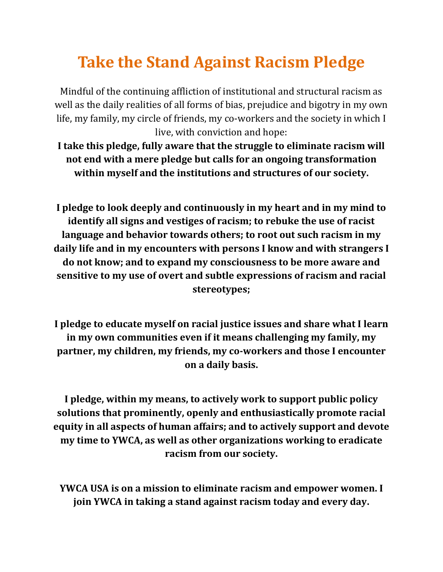## **Take the Stand Against Racism Pledge**

Mindful of the continuing affliction of institutional and structural racism as well as the daily realities of all forms of bias, prejudice and bigotry in my own life, my family, my circle of friends, my co-workers and the society in which I live, with conviction and hope:

**I take this pledge, fully aware that the struggle to eliminate racism will not end with a mere pledge but calls for an ongoing transformation within myself and the institutions and structures of our society.**

**I pledge to look deeply and continuously in my heart and in my mind to identify all signs and vestiges of racism; to rebuke the use of racist language and behavior towards others; to root out such racism in my daily life and in my encounters with persons I know and with strangers I do not know; and to expand my consciousness to be more aware and sensitive to my use of overt and subtle expressions of racism and racial stereotypes;**

**I pledge to educate myself on racial justice issues and share what I learn in my own communities even if it means challenging my family, my partner, my children, my friends, my co-workers and those I encounter on a daily basis.**

**I pledge, within my means, to actively work to support public policy solutions that prominently, openly and enthusiastically promote racial equity in all aspects of human affairs; and to actively support and devote my time to YWCA, as well as other organizations working to eradicate racism from our society.**

**YWCA USA is on a mission to eliminate racism and empower women. I join YWCA in taking a stand against racism today and every day.**